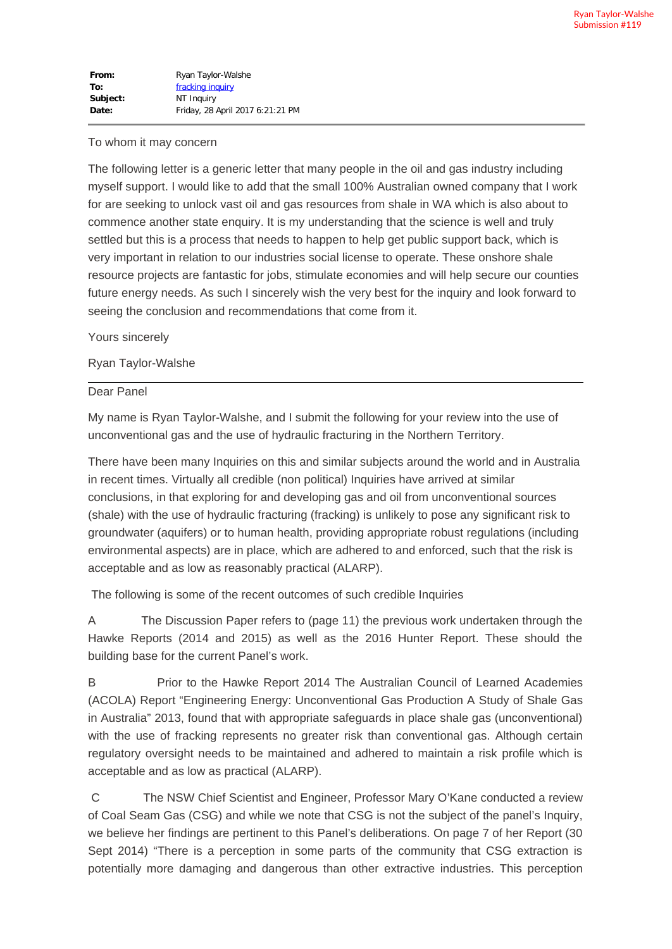| From:    | Ryan Taylor-Walshe               |
|----------|----------------------------------|
| To:      | fracking inquiry                 |
| Subject: | NT Inquiry                       |
| Date:    | Friday, 28 April 2017 6:21:21 PM |

## To whom it may concern

The following letter is a generic letter that many people in the oil and gas industry including myself support. I would like to add that the small 100% Australian owned company that I work for are seeking to unlock vast oil and gas resources from shale in WA which is also about to commence another state enquiry. It is my understanding that the science is well and truly settled but this is a process that needs to happen to help get public support back, which is very important in relation to our industries social license to operate. These onshore shale resource projects are fantastic for jobs, stimulate economies and will help secure our counties future energy needs. As such I sincerely wish the very best for the inquiry and look forward to seeing the conclusion and recommendations that come from it.

Yours sincerely

## Ryan Taylor-Walshe

## Dear Panel

My name is Ryan Taylor-Walshe, and I submit the following for your review into the use of unconventional gas and the use of hydraulic fracturing in the Northern Territory.

There have been many Inquiries on this and similar subjects around the world and in Australia in recent times. Virtually all credible (non political) Inquiries have arrived at similar conclusions, in that exploring for and developing gas and oil from unconventional sources (shale) with the use of hydraulic fracturing (fracking) is unlikely to pose any significant risk to groundwater (aquifers) or to human health, providing appropriate robust regulations (including environmental aspects) are in place, which are adhered to and enforced, such that the risk is acceptable and as low as reasonably practical (ALARP).

The following is some of the recent outcomes of such credible Inquiries

A The Discussion Paper refers to (page 11) the previous work undertaken through the Hawke Reports (2014 and 2015) as well as the 2016 Hunter Report. These should the building base for the current Panel's work.

B Prior to the Hawke Report 2014 The Australian Council of Learned Academies (ACOLA) Report "Engineering Energy: Unconventional Gas Production A Study of Shale Gas in Australia" 2013, found that with appropriate safeguards in place shale gas (unconventional) with the use of fracking represents no greater risk than conventional gas. Although certain regulatory oversight needs to be maintained and adhered to maintain a risk profile which is acceptable and as low as practical (ALARP).

C The NSW Chief Scientist and Engineer, Professor Mary O'Kane conducted a review of Coal Seam Gas (CSG) and while we note that CSG is not the subject of the panel's Inquiry, we believe her findings are pertinent to this Panel's deliberations. On page 7 of her Report (30 Sept 2014) "There is a perception in some parts of the community that CSG extraction is potentially more damaging and dangerous than other extractive industries. This perception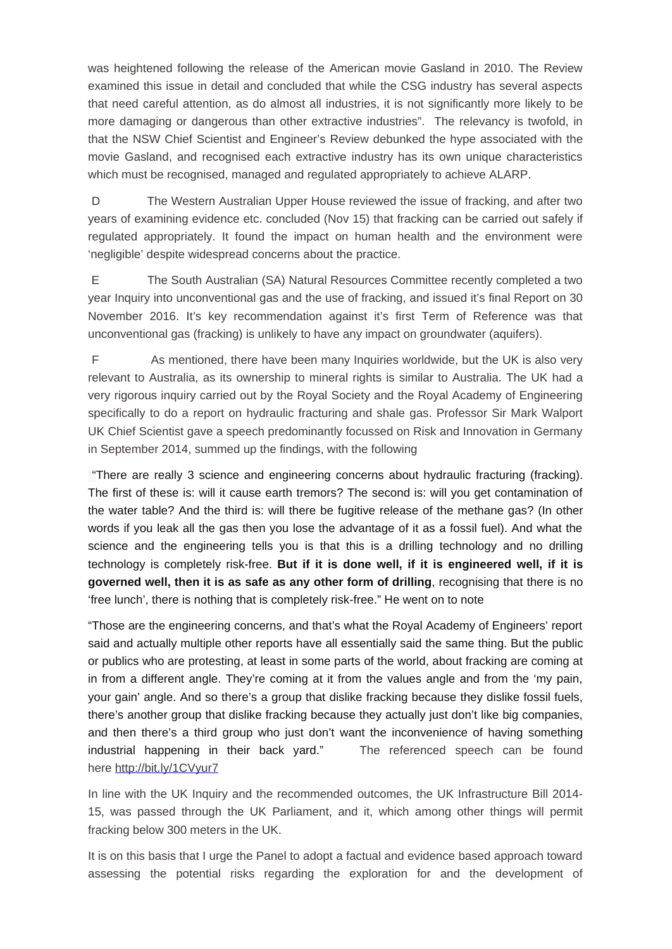was heightened following the release of the American movie Gasland in 2010. The Review examined this issue in detail and concluded that while the CSG industry has several aspects that need careful attention, as do almost all industries, it is not significantly more likely to be more damaging or dangerous than other extractive industries". The relevancy is twofold, in that the NSW Chief Scientist and Engineer's Review debunked the hype associated with the movie Gasland, and recognised each extractive industry has its own unique characteristics which must be recognised, managed and regulated appropriately to achieve ALARP.

D The Western Australian Upper House reviewed the issue of fracking, and after two years of examining evidence etc. concluded (Nov 15) that fracking can be carried out safely if regulated appropriately. It found the impact on human health and the environment were 'negligible' despite widespread concerns about the practice.

E The South Australian (SA) Natural Resources Committee recently completed a two year Inquiry into unconventional gas and the use of fracking, and issued it's final Report on 30 November 2016. It's key recommendation against it's first Term of Reference was that unconventional gas (fracking) is unlikely to have any impact on groundwater (aquifers).

F As mentioned, there have been many Inquiries worldwide, but the UK is also very relevant to Australia, as its ownership to mineral rights is similar to Australia. The UK had a very rigorous inquiry carried out by the Royal Society and the Royal Academy of Engineering specifically to do a report on hydraulic fracturing and shale gas. Professor Sir Mark Walport UK Chief Scientist gave a speech predominantly focussed on Risk and Innovation in Germany in September 2014, summed up the findings, with the following

"There are really 3 science and engineering concerns about hydraulic fracturing (fracking). The first of these is: will it cause earth tremors? The second is: will you get contamination of the water table? And the third is: will there be fugitive release of the methane gas? (In other words if you leak all the gas then you lose the advantage of it as a fossil fuel). And what the science and the engineering tells you is that this is a drilling technology and no drilling technology is completely risk-free. **But if it is done well, if it is engineered well, if it is governed well, then it is as safe as any other form of drilling**, recognising that there is no 'free lunch', there is nothing that is completely risk-free." He went on to note

"Those are the engineering concerns, and that's what the Royal Academy of Engineers' report said and actually multiple other reports have all essentially said the same thing. But the public or publics who are protesting, at least in some parts of the world, about fracking are coming at in from a different angle. They're coming at it from the values angle and from the 'my pain, your gain' angle. And so there's a group that dislike fracking because they dislike fossil fuels, there's another group that dislike fracking because they actually just don't like big companies, and then there's a third group who just don't want the inconvenience of having something industrial happening in their back yard." The referenced speech can be found here http://bit.ly/1CVyur7

In line with the UK Inquiry and the recommended outcomes, the UK Infrastructure Bill 2014- 15, was passed through the UK Parliament, and it, which among other things will permit fracking below 300 meters in the UK.

It is on this basis that I urge the Panel to adopt a factual and evidence based approach toward assessing the potential risks regarding the exploration for and the development of